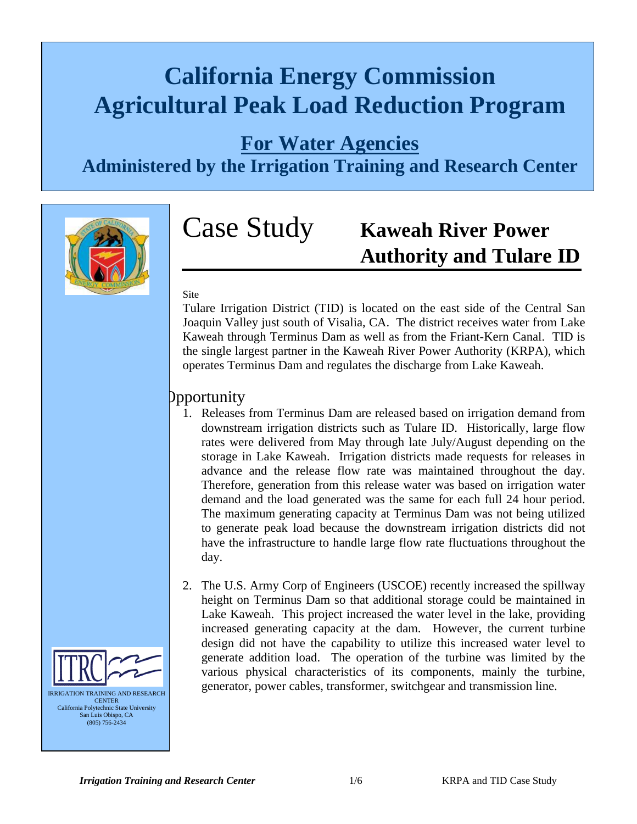# **California Energy Commission Agricultural Peak Load Reduction Program**

## **For Water Agencies**

**Administered by the Irrigation Training and Research Center**



# Case Study **Kaweah River Power Authority and Tulare ID**

#### Site

Tulare Irrigation District (TID) is located on the east side of the Central San Joaquin Valley just south of Visalia, CA. The district receives water from Lake Kaweah through Terminus Dam as well as from the Friant-Kern Canal. TID is the single largest partner in the Kaweah River Power Authority (KRPA), which operates Terminus Dam and regulates the discharge from Lake Kaweah.

#### Opportunity

- 1. Releases from Terminus Dam are released based on irrigation demand from downstream irrigation districts such as Tulare ID. Historically, large flow rates were delivered from May through late July/August depending on the storage in Lake Kaweah. Irrigation districts made requests for releases in advance and the release flow rate was maintained throughout the day. Therefore, generation from this release water was based on irrigation water demand and the load generated was the same for each full 24 hour period. The maximum generating capacity at Terminus Dam was not being utilized to generate peak load because the downstream irrigation districts did not have the infrastructure to handle large flow rate fluctuations throughout the day.
- 2. The U.S. Army Corp of Engineers (USCOE) recently increased the spillway height on Terminus Dam so that additional storage could be maintained in Lake Kaweah. This project increased the water level in the lake, providing increased generating capacity at the dam. However, the current turbine design did not have the capability to utilize this increased water level to generate addition load. The operation of the turbine was limited by the various physical characteristics of its components, mainly the turbine, generator, power cables, transformer, switchgear and transmission line.

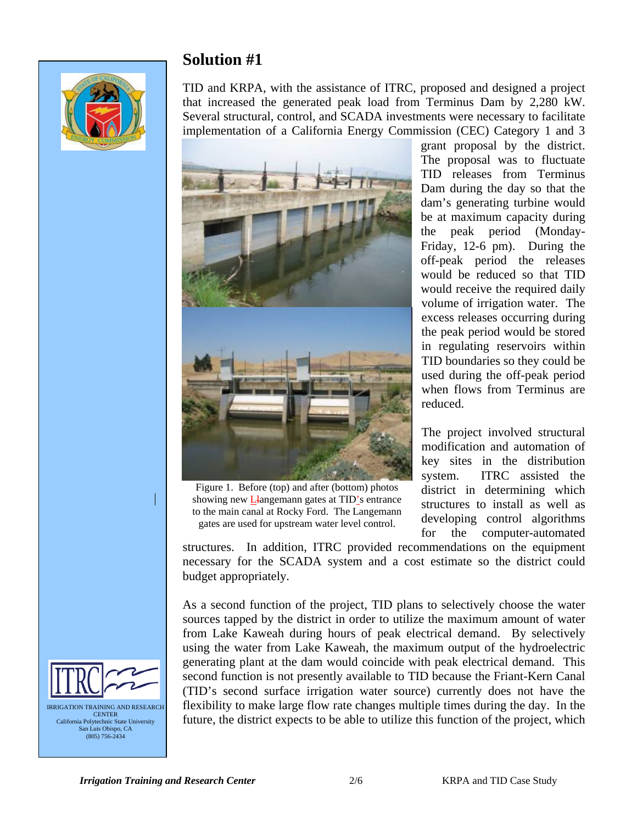#### **Solution #1**



TID and KRPA, with the assistance of ITRC, proposed and designed a project that increased the generated peak load from Terminus Dam by 2,280 kW. Several structural, control, and SCADA investments were necessary to facilitate implementation of a California Energy Commission (CEC) Category 1 and 3



Figure 1. Before (top) and after (bottom) photos showing new *L*-langemann gates at TID's entrance to the main canal at Rocky Ford. The Langemann gates are used for upstream water level control.

grant proposal by the district. The proposal was to fluctuate TID releases from Terminus Dam during the day so that the dam's generating turbine would be at maximum capacity during the peak period (Monday-Friday, 12-6 pm). During the off-peak period the releases would be reduced so that TID would receive the required daily volume of irrigation water. The excess releases occurring during the peak period would be stored in regulating reservoirs within TID boundaries so they could be used during the off-peak period when flows from Terminus are reduced.

The project involved structural modification and automation of key sites in the distribution system. ITRC assisted the district in determining which structures to install as well as developing control algorithms for the computer-automated

structures. In addition, ITRC provided recommendations on the equipment necessary for the SCADA system and a cost estimate so the district could budget appropriately.

As a second function of the project, TID plans to selectively choose the water sources tapped by the district in order to utilize the maximum amount of water from Lake Kaweah during hours of peak electrical demand. By selectively using the water from Lake Kaweah, the maximum output of the hydroelectric generating plant at the dam would coincide with peak electrical demand. This second function is not presently available to TID because the Friant-Kern Canal (TID's second surface irrigation water source) currently does not have the flexibility to make large flow rate changes multiple times during the day. In the future, the district expects to be able to utilize this function of the project, which

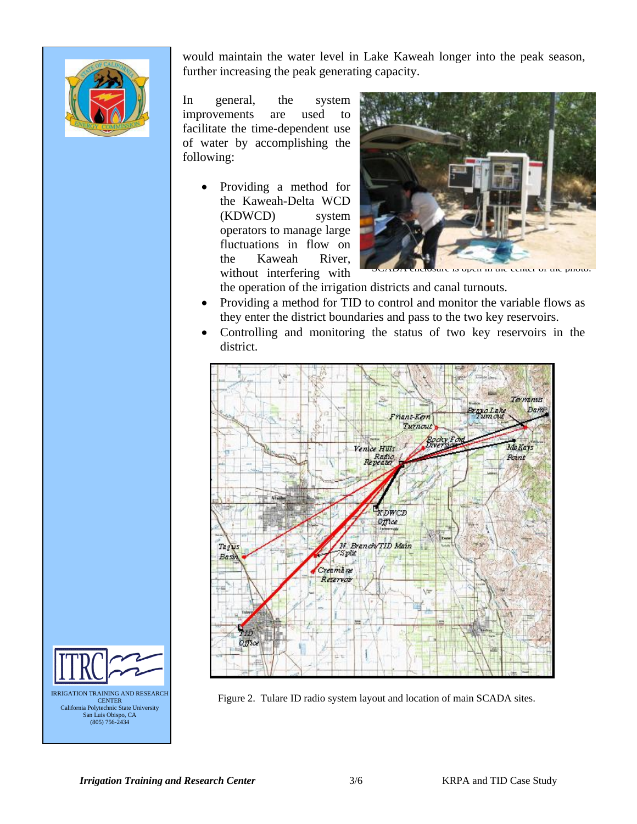

would maintain the water level in La ke Kaweah longer into the peak season, further increasing the peak generating c apacity.

In general, the system improvements are used to facilitate the time-dependent use o f water by accomplishing the following:

> • Providing a method for the Kaweah-Delta WCD (KDWCD) system operators to manage large fluctuations in flow on the Kaweah River, without interfering with



the operation of the irrigation districts and canal turnouts.

- Providing a method for TID to control and monitor the variable flows as they enter the district boundaries and pass to the two key reservoirs.
- Controlling and monitoring the status of two key reservoirs in the district.



**ERRIGATION TRAINING AND RESEARCH** Figure 2. Tulare ID radio system layout and location of main SCADA sites.

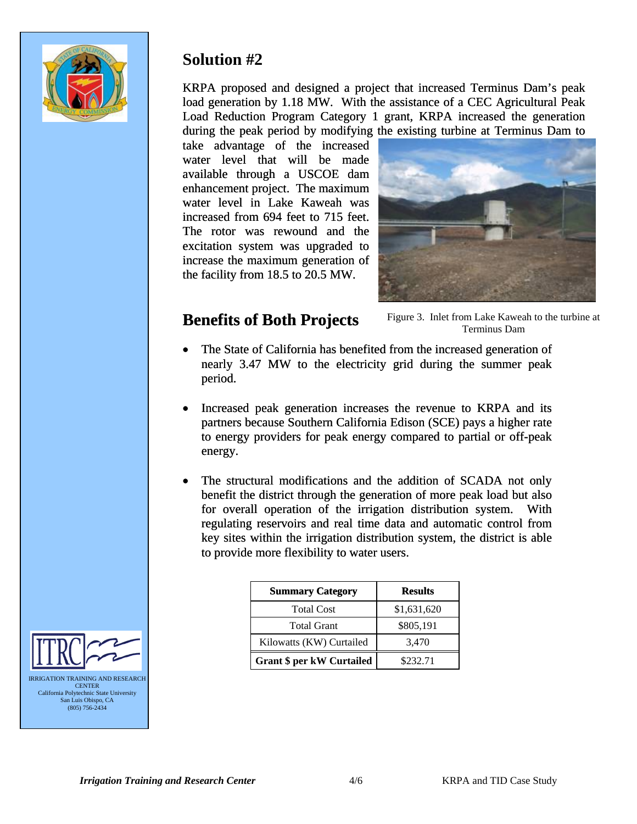

### **Solution #2**

KRPA proposed and designed a project that increased Terminus Dam's peak load generation by 1.18 MW. With the assistance of a CEC Agricultural Peak Load Reduction Program Category 1 grant, KRPA increased the generation during the peak period by modifying the existing turbine at Terminus Dam to

take advantage of the increased water level that will be made available through a USCOE dam enhancement project. The maximum water level in Lake Kaweah was increased from 694 feet to 715 feet. The rotor was rewound and the excitation system was upgraded to increase the maximum generation of the facility from 18.5 to 20.5 MW.



### **Benefits of Both Projects**

Figure 3. Inlet from Lake Kaweah to the turbine at Terminus Dam

- The State of California has benefited from the increased generation of nearly 3.47 MW to the electricity grid during the summer peak period.
- Increased peak generation increases the revenue to KRPA and its partners because Southern California Edison (SCE) pays a higher rate to energy providers for peak energy compared to partial or off-peak energy.
- The structural modifications and the addition of SCADA not only benefit the district through the generation of more peak load but also for overall operation of the irrigation distribution system. With regulating reservoirs and real time data and automatic control from key sites within the irrigation distribution system, the district is able to provide more flexibility to water users.

| <b>Summary Category</b>          | <b>Results</b> |
|----------------------------------|----------------|
| <b>Total Cost</b>                | \$1,631,620    |
| <b>Total Grant</b>               | \$805,191      |
| Kilowatts (KW) Curtailed         | 3,470          |
| <b>Grant \$ per kW Curtailed</b> | \$232.71       |



**CENTER** California Polytechnic State University San Luis Obispo, CA (805) 756-2434